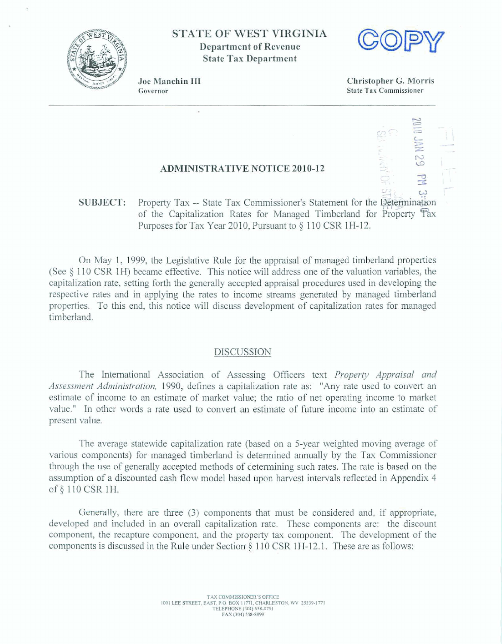

**STATE OF** WEST **VIRGINIA Department of Revenue State Tax Department** 



Joe Manchin III Governor

**Christopher** *G.* **Manis State Tax Commissioner** 

## **ADMINISTRATIVE NOTICE 201 0-12**

## L3 SUBJECT: Property Tax -- State Tax Commissioner's Statement for the **@@mination of the Capitalization Rates for Managed Timberland for Property Tax Pwposes** for Tax *Year* **20** 10, **Pursuant to** \$ 1 **2 0** CSR 1 **H-** 12.

**On** May 1, 1999, **the Legislative** Rule for the **appraisal** of managed thberland **properties (See 8 1 1 0 CSR** 1 H) **became effective. This** notice wiIl **address one of the valuation variabla, the capitalization rate, setting forth the generally accepted appraisal procedures used** in **developing the respective rates and** in **applying** the **rates to** income **streams** generated **by managed** timberland **properties. To this** end, **this** notice will **discuss development** of **capitalization rates for** managed timberland.

## **DISCUSSION**

The International Association of Assessing Officers text *Property Appraisal and Assesment Administration,* 1990, **defines a capitalization rate as:** "Any **rate used to** convert **an**  estimate of income to an estimate **of market** value; **the ratio** of net operating income **to** market **value." In other** words **a** rate used **to convert** an estimate of fiture income into **an** estimate **of**  present value.

**The average statewide capitalization rate (based on a 5-year weighted moving average of**  various components) **for managed** timberland **is determined mually by the Tax Commissioner**  through the **use of** generally accepted methods of determining such **rates. The** rate **is** baed **on** the assumption **of a discounted** cash flow model based **upon** harvest **intervaIs** reflected in **Appendix 4**  of **110 CSR 1H.** 

Generally, there are three (3) components that must be considered and, if appropriate, **developed and** included **in an overdl capitalizatinn rate.** These **components are:** the discount component, **the recapture** component, **and the property** *tax* component The **development** of **the**  components **is** discussed in **the** Rule under Section **3** 1 10 **CSR 1** H-12.1. These are as follows: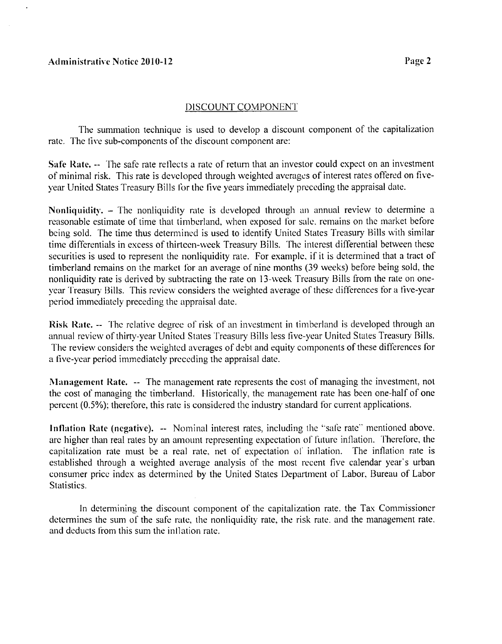## **Administrative Notice 2010-12**

#### DISCOUNT COMPONENT

The summation technique is used to develop a discount component of the capitalization rate. The five sub-components of the discount component are:

Safe Rate, -- The safe rate reflects a rate of return that an investor could expect on an investment of minimal risk. This rate is developed through weighted averages of interest rates offered on fivevear United States Treasury Bills for the five years immediately preceding the appraisal date.

Nonliquidity. – The nonliquidity rate is developed through an annual review to determine a reasonable estimate of time that timberland, when exposed for sale, remains on the market before being sold. The time thus determined is used to identify United States Treasury Bills with similar time differentials in excess of thirteen-week Treasury Bills. The interest differential between these securities is used to represent the nonliquidity rate. For example, if it is determined that a tract of timberland remains on the market for an average of nine months (39 weeks) before being sold, the nonliquidity rate is derived by subtracting the rate on 13-week Treasury Bills from the rate on onevear Treasury Bills. This review considers the weighted average of these differences for a five-year period immediately preceding the appraisal date.

Risk Rate. -- The relative degree of risk of an investment in timberland is developed through an annual review of thirty-year United States Treasury Bills less five-year United States Treasury Bills. The review considers the weighted averages of debt and equity components of these differences for a five-year period immediately preceding the appraisal date.

Management Rate. -- The management rate represents the cost of managing the investment, not the cost of managing the timberland. Historically, the management rate has been one-half of one percent (0.5%); therefore, this rate is considered the industry standard for current applications.

Inflation Rate (negative). -- Nominal interest rates, including the "safe rate" mentioned above. are higher than real rates by an amount representing expectation of future inflation. Therefore, the capitalization rate must be a real rate, net of expectation of inflation. The inflation rate is established through a weighted average analysis of the most recent five calendar year's urban consumer price index as determined by the United States Department of Labor, Bureau of Labor Statistics.

In determining the discount component of the capitalization rate, the Tax Commissioner determines the sum of the safe rate, the nonliquidity rate, the risk rate, and the management rate. and deducts from this sum the inflation rate.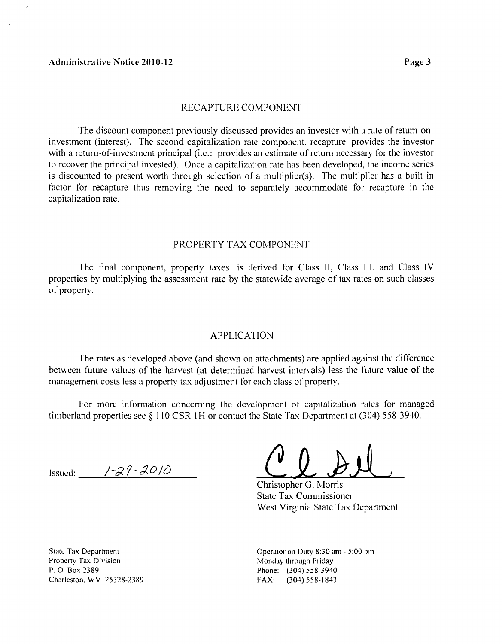#### RECAPTURE COMPONENT

The discount component previously discussed provides an investor with a rate of return-oninvestment (interest). The second capitalization rate component, recapture, provides the investor with a return-of-investment principal (i.e.: provides an estimate of return necessary for the investor to recover the principal invested). Once a capitalization rate has been developed, the income series is discounted to present worth through selection of a multiplier(s). The multiplier has a built in factor for recapture thus removing the need to separately accommodate for recapture in the capitalization rate.

#### PROPERTY TAX COMPONENT

The final component, property taxes, is derived for Class II, Class III, and Class IV properties by multiplying the assessment rate by the statewide average of tax rates on such classes of property.

#### APPLICATION

The rates as developed above (and shown on attachments) are applied against the difference between future values of the harvest (at determined harvest intervals) less the future value of the management costs less a property tax adjustment for each class of property.

For more information concerning the development of capitalization rates for managed timberland properties see  $\S$  110 CSR 1H or contact the State Tax Department at (304) 558-3940.

Issued:  $\frac{7}{8}$  /-29 - 2010

Christopher G. Morris State Tax Commissioner West Virginia State Tax Department

State Tax Department **Property Tax Division** P. 0. Box 2389 Charleston, WV 25328-2389 Operator on Duty 8:30 am - 5:00 pm Monday through Friday Phone: (304) 558-3940 FAX: (304) 558-1843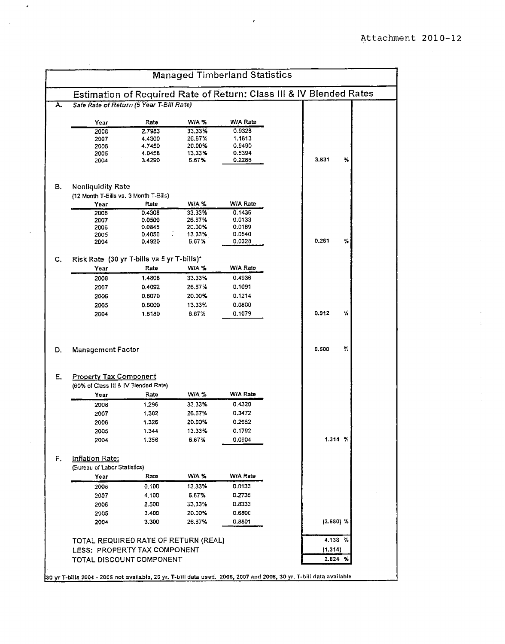|                                                                                                                                                      | <b>Managed Timberland Statistics</b>                     |                  |                                                                     |         |             |
|------------------------------------------------------------------------------------------------------------------------------------------------------|----------------------------------------------------------|------------------|---------------------------------------------------------------------|---------|-------------|
|                                                                                                                                                      |                                                          |                  | Estimation of Required Rate of Return: Class III & IV Blended Rates |         |             |
|                                                                                                                                                      | Safe Rate of Return (5 Year T-Bill Rate)                 |                  |                                                                     |         |             |
| Year                                                                                                                                                 | Rate                                                     | WIA %            | W/A Rate                                                            |         |             |
| 2008                                                                                                                                                 | 2.7983                                                   | 33.33%           | 0.9328                                                              |         |             |
| 2007                                                                                                                                                 | 4.4300                                                   | 26.67%           | 1.1813                                                              |         |             |
| 2006                                                                                                                                                 | 4.7450                                                   | 20.00%           | 0.9490                                                              |         |             |
| 2005<br>2004                                                                                                                                         | 4.0458<br>3.4290                                         | 13.33%<br>6.67%  | 0.5394<br>0.2285                                                    | 3,831   | ₩           |
|                                                                                                                                                      |                                                          |                  |                                                                     |         |             |
| Nonliquidity Rate                                                                                                                                    |                                                          |                  |                                                                     |         |             |
| (12 Month T-Bills vs. 3 Month T-Bills)                                                                                                               |                                                          |                  |                                                                     |         |             |
| Year                                                                                                                                                 | Rate                                                     | WIA %            | W/A Rate                                                            |         |             |
| 2008                                                                                                                                                 | 0.4308<br>0.0500                                         | 33.33%<br>26.67% | 0.1436<br>0.0133                                                    |         |             |
| 2007<br>2006                                                                                                                                         | 0.0845                                                   | 20.00%           | 0.0169                                                              |         |             |
| 2005                                                                                                                                                 | 0.4050                                                   | 13.33%           | 0.0540                                                              |         |             |
| 2004                                                                                                                                                 | 0.4920                                                   | 6.67%            | 0.0328                                                              | 0.261   | ℅           |
|                                                                                                                                                      | Risk Rate (30 yr T-bills vs 5 yr T-bills)*               |                  |                                                                     |         |             |
| Year                                                                                                                                                 | Rate                                                     | WIA %            | W/A Rate                                                            |         |             |
| 2008                                                                                                                                                 | 1.4808                                                   | 33.33%           | 0.4936                                                              |         |             |
| 2007                                                                                                                                                 | 0.4092                                                   | 26.67%           | 0.1091                                                              |         |             |
|                                                                                                                                                      |                                                          |                  |                                                                     |         |             |
| 2006                                                                                                                                                 | 0.6070                                                   | 20.00%           | 0.1214                                                              |         |             |
|                                                                                                                                                      |                                                          |                  |                                                                     |         |             |
| 2005<br>2004                                                                                                                                         | 0.6000<br>1.6180                                         | 13.33%<br>6.67%  | 0.0800<br>0.1079                                                    | 0.912   | ₩           |
|                                                                                                                                                      |                                                          |                  |                                                                     | 0.500   | У,          |
|                                                                                                                                                      |                                                          |                  |                                                                     |         |             |
|                                                                                                                                                      |                                                          |                  |                                                                     |         |             |
|                                                                                                                                                      |                                                          |                  |                                                                     |         |             |
| Year                                                                                                                                                 | Rate                                                     | WIA %            | WIA Rate                                                            |         |             |
| 2008                                                                                                                                                 | 1.296                                                    | 33.33%           | 0.4320                                                              |         |             |
| 2007                                                                                                                                                 | 1.302                                                    | 26.67%           | 0.3472                                                              |         |             |
| 2006                                                                                                                                                 | 1.326                                                    | 20.00%           | 0.2652                                                              |         |             |
| 2005                                                                                                                                                 | 1.344                                                    | 13.33%           | 0.1792                                                              |         |             |
| 2004                                                                                                                                                 | 1.356                                                    | 6.67%            | 0.0904                                                              |         | 1.314 %     |
|                                                                                                                                                      |                                                          |                  |                                                                     |         |             |
| <b>Management Factor</b><br><b>Property Tax Component</b><br>(60% of Class III & IV Blended Rate)<br>Inflation Rate:<br>(Bureau of Labor Statistics) |                                                          |                  |                                                                     |         |             |
| Year                                                                                                                                                 | Rate                                                     | WIA %            | W/A Rate                                                            |         |             |
| 2008                                                                                                                                                 | 0.100                                                    | 13.33%           | 0.0133                                                              |         |             |
| 2007                                                                                                                                                 | 4.100                                                    | 6.67%            | 0.2735                                                              |         |             |
|                                                                                                                                                      | 2.500                                                    | 33.33%           | 0.8333                                                              |         |             |
| 2006                                                                                                                                                 |                                                          |                  |                                                                     |         |             |
| 2005<br>2004                                                                                                                                         | 3.400<br>3.300                                           | 20.00%<br>26.67% | 0.6800<br>0.8801                                                    |         | $(2.680)$ % |
|                                                                                                                                                      |                                                          |                  |                                                                     |         |             |
|                                                                                                                                                      | TOTAL REQUIRED RATE OF RETURN (REAL)                     |                  |                                                                     |         | 4.138 %     |
|                                                                                                                                                      | LESS: PROPERTY TAX COMPONENT<br>TOTAL DISCOUNT COMPONENT |                  |                                                                     | (1.314) | 2.824 %     |

 $\cdot$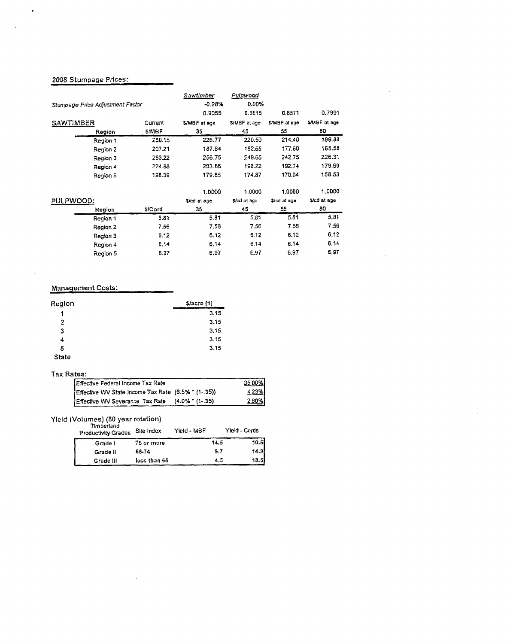#### 2008 Stumpage Prices:

 $\ddot{\phantom{0}}$ 

|                                  |          |              | Sawtimber    | Pulpwood     |              |               |
|----------------------------------|----------|--------------|--------------|--------------|--------------|---------------|
| Stumpage Price Adjustment Factor |          |              | $-0.28%$     | 0.00%        |              |               |
|                                  |          |              | 0.9055       | 0.8815       | 0.8571       | 0.7991        |
| SAWTIMBER                        |          | Current      | S/MBF at age | S/MBF at age | S/MBF at age | \$/MBF at age |
|                                  | Region   | <b>S/MBF</b> | 35           | 45           | 55           | 80            |
|                                  | Region 1 | 250.15       | 226,77       | 220.50       | 214.40       | 199.88        |
|                                  | Region 2 | 207.21       | 187.84       | 182.65       | 177.60       | 165.58        |
|                                  | Region 3 | 283.22       | 256.75       | 249.65       | 242.75       | 226.31        |
|                                  | Region 4 | 224.88       | 203.86       | 198.22       | 192.74       | 179.69        |
|                                  | Region 5 | 198.39       | 179.85       | 174,87       | 170.04       | 158.53        |
|                                  |          |              | 1.0000       | 1.0000       | 1.0000       | 1.0000        |
| PULPWOOD:                        |          |              | \$/cd at age | \$/cd at age | \$/cd at age | S/cd at age   |
|                                  | Region   | \$/Cord      | 35           | 45           | 55           | 80            |
|                                  | Region 1 | 5.81         | 5.81         | 5.81         | 5.81         | 5.81          |
|                                  | Region 2 | 7.56         | 7.56         | 7.56         | 7.56         | 7.56          |
|                                  | Region 3 | 6.12         | 6.12         | 6.12         | 6.12         | 6.12          |
|                                  | Region 4 | 6.14         | 6.14         | 6.14         | 6.14         | 6.14          |
|                                  | Region 5 | 6.97         | 6.97         | E.97         | 6.97         | 6.97          |

#### Management Costs:

 $\ddot{\phantom{1}}$ 

| Region       | S/accre(1) |
|--------------|------------|
| 1            | 3.15<br>٠  |
| 2            | 3.15       |
| 3            | 3.15       |
| 4            | 3.15       |
| 5            | 3.15       |
| <b>State</b> |            |

 $\bar{z}$ 

#### Tax Rates:

| Effective Federal Income Tax Rate                   | 35.00% |
|-----------------------------------------------------|--------|
| Effective WV State Income Tax Rate (6.5% * (1-.35)) | 4.23%  |
| Effective VVV Severance Tax Rate (4.0% * (1-.35)    | 2.60%  |

## Yield (Volumes) (80 year rotation)

| <b>HILLENSIN</b><br><b>Productivity Grades</b> | Site Index   | Yield - MBF | Yleid - Cords |       |
|------------------------------------------------|--------------|-------------|---------------|-------|
| Grade I                                        | 75 or more   |             | 14.5          | 10.51 |
| Grade II                                       | 65-74        |             | 9.7           | 14.9  |
| Grade III                                      | less than 65 |             | 4.5           | 18.5  |

 $\mathcal{L}$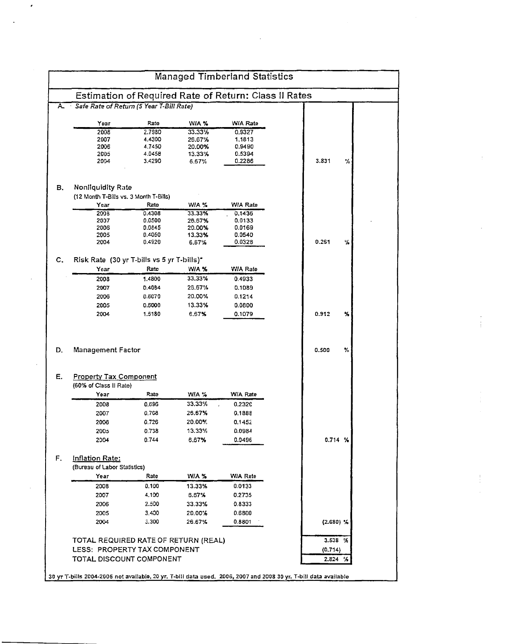|                                                              |                                                          |        |                 | <b>Managed Timberland Statistics</b> |  |                    |   |
|--------------------------------------------------------------|----------------------------------------------------------|--------|-----------------|--------------------------------------|--|--------------------|---|
| <b>Estimation of Required Rate of Return: Class II Rates</b> |                                                          |        |                 |                                      |  |                    |   |
| A.                                                           | Safe Rate of Return (5 Year T-Bill Rate)                 |        |                 |                                      |  |                    |   |
|                                                              | Year                                                     | Rate   | WIA %           | W/A Rate                             |  |                    |   |
|                                                              | 2008                                                     | 2.7980 | 33.33%          | 0.9327                               |  |                    |   |
|                                                              | 2007                                                     | 4.4300 | 26.67%          | 1.1813                               |  |                    |   |
|                                                              | 2006                                                     | 4.7450 | 20.00%          | 0.9490                               |  |                    |   |
|                                                              | 2005                                                     | 4.0458 | 13.33%          | 0.5394                               |  |                    |   |
|                                                              | 2004                                                     | 3.4290 | 6.67%           | 0.2286                               |  | 3.831              | % |
| в.                                                           | Nonliquidity Rate                                        |        |                 |                                      |  |                    |   |
|                                                              | (12 Month T-Bills vs. 3 Month T-Bills)                   |        |                 |                                      |  |                    |   |
|                                                              | Year                                                     | Rato   | WIA %           | W/A Rate                             |  |                    |   |
|                                                              | 2008                                                     | 0.4308 | 33.33%          | 0.1436                               |  |                    |   |
|                                                              | 2007                                                     | 0.0500 | 26.67%          | 0.0133                               |  |                    |   |
|                                                              | 2005                                                     | 0.0845 | 20.00%          | 0.0169                               |  |                    |   |
|                                                              | 2005                                                     | 0.4050 | 13.33%          | 0.0540                               |  |                    |   |
|                                                              | 2004                                                     | 0.4920 | 6.67%           | 0.032B                               |  | 0.261              | ₩ |
| c.                                                           | Risk Rate (30 yr T-bills vs 5 yr T-bills)*               |        |                 |                                      |  |                    |   |
|                                                              | Year                                                     | Rate   | WA %            | W/A Rate                             |  |                    |   |
|                                                              | 2008                                                     | 1.4800 | 33.33%          | 0.4933                               |  |                    |   |
|                                                              | 2007                                                     | 0.4084 | 26.67%          | 0.1089                               |  |                    |   |
|                                                              | 2006                                                     | 0.6070 | 20.00%          | 0.1214                               |  |                    |   |
|                                                              |                                                          |        |                 |                                      |  |                    |   |
|                                                              | 2005                                                     | 0.6000 | 13.33%          | 0.0800                               |  |                    |   |
|                                                              | 2004                                                     | 1.5180 | 6.67%           | 0.1079                               |  | 0.912              | % |
|                                                              | <b>Management Factor</b>                                 |        |                 |                                      |  | 0.500              | % |
|                                                              |                                                          |        |                 |                                      |  |                    |   |
|                                                              | <b>Property Tax Component</b>                            |        |                 |                                      |  |                    |   |
|                                                              | (60% of Class II Rate)<br>Year                           | Rate   |                 | W/A Rate                             |  |                    |   |
|                                                              |                                                          |        | WIA %<br>33.33% |                                      |  |                    |   |
|                                                              | 2008                                                     | 0.696  |                 | 0.2320                               |  |                    |   |
|                                                              | 2007                                                     | 0.708  | 26.67%          | 0.1888                               |  |                    |   |
|                                                              | 2006                                                     | 0.726  | 20.00%          | 0.1452                               |  |                    |   |
|                                                              | 2005                                                     | 0.738  | 13.33%          | 0.0984                               |  |                    |   |
|                                                              | 2004                                                     | 0.744  | 6.67%           | 0.0496                               |  | 0.714%             |   |
| D.<br>Е.<br>F.                                               | Inflation Rate:                                          |        |                 |                                      |  |                    |   |
|                                                              | (Bureau of Labor Statistics)                             |        |                 |                                      |  |                    |   |
|                                                              | Year                                                     | Rate   | WA %            | WIA Rate                             |  |                    |   |
|                                                              | 2008                                                     | 0.100  | 13.33%          | 0.0133                               |  |                    |   |
|                                                              | 2007                                                     | 4.100  | 6.67%           | 0.2735                               |  |                    |   |
|                                                              |                                                          |        |                 |                                      |  |                    |   |
|                                                              | 2006                                                     | 2.500  | 33.33%          | 0.8333                               |  |                    |   |
|                                                              | 2005                                                     | 3.400  | 20.00%          | 0.6800                               |  |                    |   |
|                                                              | 2004                                                     | 3.300  | 26.67%          | 0.8801                               |  | $(2.680)$ %        |   |
|                                                              |                                                          |        |                 |                                      |  | 3.538%             |   |
|                                                              | TOTAL REQUIRED RATE OF RETURN (REAL)                     |        |                 |                                      |  |                    |   |
|                                                              | LESS: PROPERTY TAX COMPONENT<br>TOTAL DISCOUNT COMPONENT |        |                 |                                      |  | (0,714)<br>2.824 % |   |